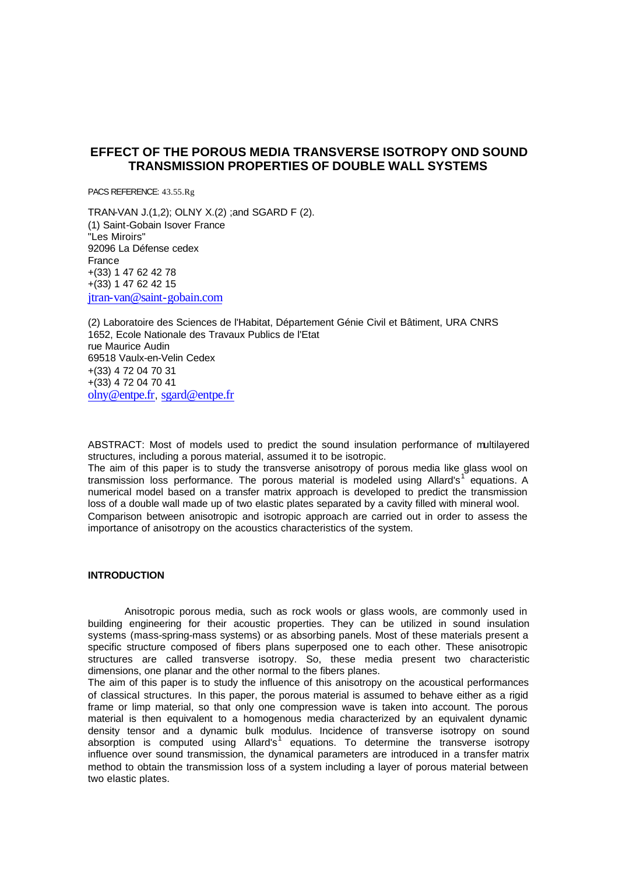# **EFFECT OF THE POROUS MEDIA TRANSVERSE ISOTROPY OND SOUND TRANSMISSION PROPERTIES OF DOUBLE WALL SYSTEMS**

PACS REFERENCE: 43.55.Rg

TRAN-VAN J.(1,2); OLNY X.(2) ;and SGARD F (2). (1) Saint-Gobain Isover France "Les Miroirs" 92096 La Défense cedex France +(33) 1 47 62 42 78 +(33) 1 47 62 42 15 jtran-van@saint-gobain.com

(2) Laboratoire des Sciences de l'Habitat, Département Génie Civil et Bâtiment, URA CNRS 1652, Ecole Nationale des Travaux Publics de l'Etat rue Maurice Audin 69518 Vaulx-en-Velin Cedex +(33) 4 72 04 70 31 +(33) 4 72 04 70 41 olny@entpe.fr, sgard@entpe.fr

ABSTRACT: Most of models used to predict the sound insulation performance of multilayered structures, including a porous material, assumed it to be isotropic.

The aim of this paper is to study the transverse anisotropy of porous media like glass wool on transmission loss performance. The porous material is modeled using Allard's<sup>1</sup> equations. A numerical model based on a transfer matrix approach is developed to predict the transmission loss of a double wall made up of two elastic plates separated by a cavity filled with mineral wool. Comparison between anisotropic and isotropic approach are carried out in order to assess the importance of anisotropy on the acoustics characteristics of the system.

## **INTRODUCTION**

Anisotropic porous media, such as rock wools or glass wools, are commonly used in building engineering for their acoustic properties. They can be utilized in sound insulation systems (mass-spring-mass systems) or as absorbing panels. Most of these materials present a specific structure composed of fibers plans superposed one to each other. These anisotropic structures are called transverse isotropy. So, these media present two characteristic dimensions, one planar and the other normal to the fibers planes.

The aim of this paper is to study the influence of this anisotropy on the acoustical performances of classical structures. In this paper, the porous material is assumed to behave either as a rigid frame or limp material, so that only one compression wave is taken into account. The porous material is then equivalent to a homogenous media characterized by an equivalent dynamic density tensor and a dynamic bulk modulus. Incidence of transverse isotropy on sound absorption is computed using Allard's<sup>1</sup> equations. To determine the transverse isotropy influence over sound transmission, the dynamical parameters are introduced in a transfer matrix method to obtain the transmission loss of a system including a layer of porous material between two elastic plates.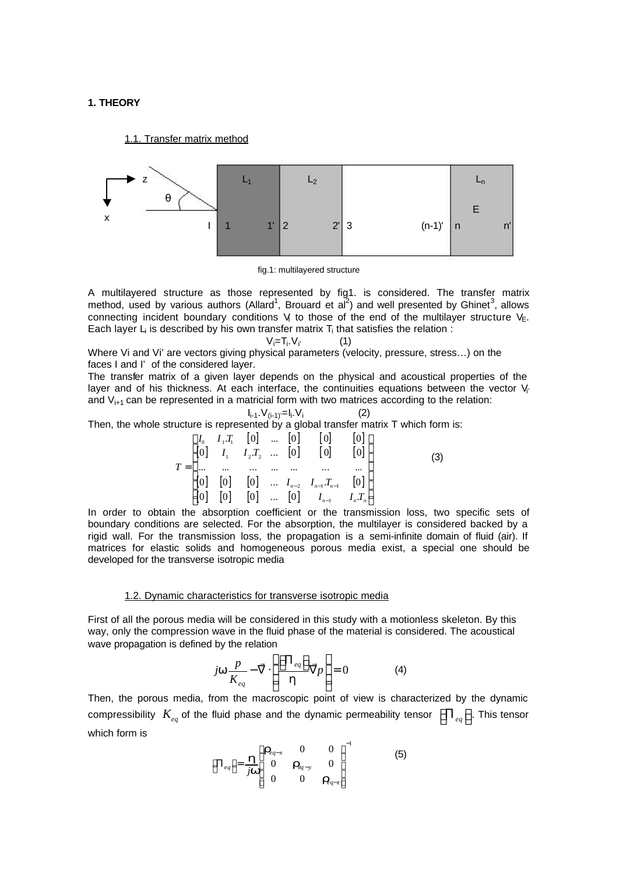## **1. THEORY**

1.1. Transfer matrix method



fig.1: multilayered structure

A multilayered structure as those represented by fig1. is considered. The transfer matrix method, used by various authors (Allard<sup>1</sup>, Brouard et al<sup>2</sup>) and well presented by Ghinet<sup>3</sup>, allows connecting incident boundary conditions  $V_i$  to those of the end of the multilayer structure  $V_{E}$ . Each layer L<sub>i</sub> is described by his own transfer matrix T<sub>i</sub> that satisfies the relation :

$$
V_i = T_i. V_i \tag{1}
$$

Where Vi and Vi' are vectors giving physical parameters (velocity, pressure, stress…) on the faces I and I' of the considered layer.

The transfer matrix of a given layer depends on the physical and acoustical properties of the layer and of his thickness. At each interface, the continuities equations between the vector  $V_i$ and  $V_{i+1}$  can be represented in a matricial form with two matrices according to the relation:

 $(2)$ 

$$
I_{i-1}.V_{(i-1)}=I_i.V_i
$$

Then, the whole structure is represented by a global transfer matrix T which form is:

$$
T = \begin{bmatrix} I_0 & I_1.T_1 & [0] & \dots & [0] & [0] & [0] \\ [0] & I_1 & I_2.T_2 & \dots & [0] & [0] & [0] \\ \dots & \dots & \dots & \dots & \dots & \dots & \dots \\ [0] & [0] & [0] & \dots & I_{n-2} & I_{n-1}.T_{n-1} & [0] \\ [0] & [0] & [0] & \dots & [0] & I_{n-1} & I_n.T_n \end{bmatrix}
$$
(3)

In order to obtain the absorption coefficient or the transmission loss, two specific sets of boundary conditions are selected. For the absorption, the multilayer is considered backed by a rigid wall. For the transmission loss, the propagation is a semi-infinite domain of fluid (air). If matrices for elastic solids and homogeneous porous media exist, a special one should be developed for the transverse isotropic media

### 1.2. Dynamic characteristics for transverse isotropic media

First of all the porous media will be considered in this study with a motionless skeleton. By this way, only the compression wave in the fluid phase of the material is considered. The acoustical wave propagation is defined by the relation

$$
j\mathbf{w}\frac{p}{K_{eq}} - \vec{\nabla} \cdot \left(\frac{\left[\Pi_{eq}\right]}{\hbar} \vec{\nabla} p\right) = 0 \tag{4}
$$

Then, the porous media, from the macroscopic point of view is characterized by the dynamic compressibility  $K_{_{eq}}$  of the fluid phase and the dynamic permeability tensor  $\left\lfloor \Pi_{_{eq}}\right\rfloor$ . This tensor which form is

$$
\left[\Pi_{eq}\right] = \frac{\mathbf{h}}{j\mathbf{w}} \begin{bmatrix} \mathbf{r}_{eq-x} & 0 & 0 \\ 0 & \mathbf{r}_{eq-y} & 0 \\ 0 & 0 & \mathbf{r}_{eq-z} \end{bmatrix}^{-1}
$$
 (5)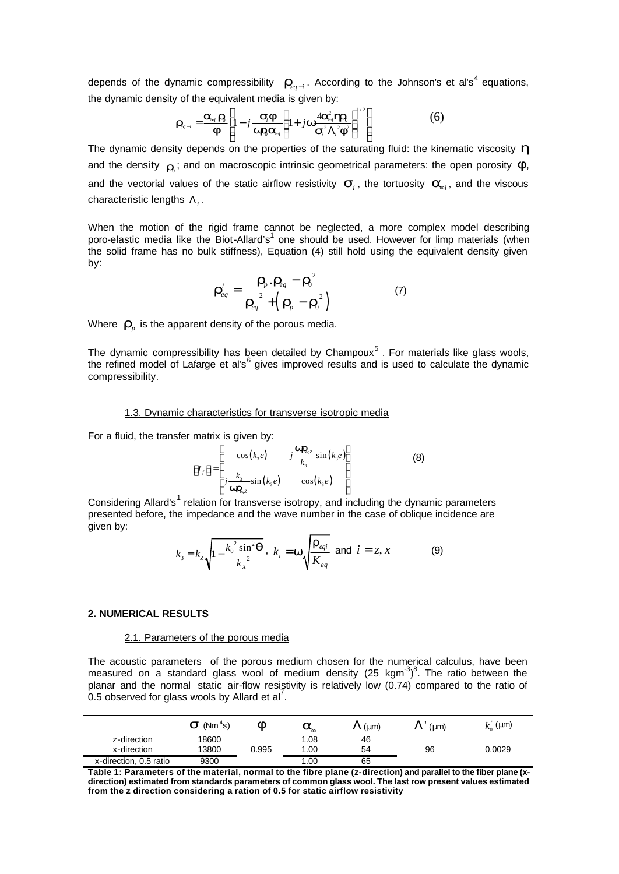depends of the dynamic compressibility  $\bm{r}_{eq-i}$ . According to the Johnson's et al's<sup>4</sup> equations, the dynamic density of the equivalent media is given by:

$$
\boldsymbol{r}_{eq-i} = \frac{\boldsymbol{a}_{si} \boldsymbol{r}_0}{\boldsymbol{F}} \left[ 1 - j \frac{\boldsymbol{s}_{i} \boldsymbol{F}}{\boldsymbol{w}_{i} \boldsymbol{a}_{si}} \left( 1 + j \boldsymbol{w}_{\boldsymbol{S}_{i}^{2} \boldsymbol{\Lambda}_{i}^{2}} \boldsymbol{F} \right)^{1/2} \right]
$$
(6)

The dynamic density depends on the properties of the saturating fluid: the kinematic viscosity *h* and the density  $\vert_{\boldsymbol{I}_0}$ ; and on macroscopic intrinsic geometrical parameters: the open porosity  $\boldsymbol{f},$ and the vectorial values of the static airflow resistivity  $\bm{s}_i$ , the tortuosity  $\bm{a}_{\!s_i}$ , and the viscous  $\epsilon$ haracteristic lengths  $\Lambda_{i}^{}$  .

When the motion of the rigid frame cannot be neglected, a more complex model describing poro-elastic media like the Biot-Allard's<sup>1</sup> one should be used. However for limp materials (when the solid frame has no bulk stiffness), Equation (4) still hold using the equivalent density given by:

$$
\boldsymbol{r}_{eq}^{l} = \frac{\boldsymbol{r}_{p} \cdot \boldsymbol{r}_{eq} - \boldsymbol{r}_{0}^{2}}{\boldsymbol{r}_{eq}^{2} + \left(\boldsymbol{r}_{p} - \boldsymbol{r}_{0}^{2}\right)}
$$
(7)

Where  $\textbf{\emph{r}}_{p}$  is the apparent density of the porous media.

The dynamic compressibility has been detailed by Champoux<sup>5</sup>. For materials like glass wools, the refined model of Lafarge et al's<sup>6</sup> gives improved results and is used to calculate the dynamic compressibility.

#### 1.3. Dynamic characteristics for transverse isotropic media

For a fluid, the transfer matrix is given by:

$$
\begin{bmatrix} T_f \end{bmatrix} = \begin{bmatrix} \cos(k_3 e) & j \frac{\mathbf{W} \mathbf{r}_{eqz}}{k_3} \sin(k_3 e) \\ j \frac{k_3}{\mathbf{W} \mathbf{r}_{eqz}} \sin(k_3 e) & \cos(k_3 e) \end{bmatrix}
$$
 (8)

Considering Allard's<sup>1</sup> relation for transverse isotropy, and including the dynamic parameters presented before, the impedance and the wave number in the case of oblique incidence are given by:

$$
k_3 = k_z \sqrt{1 - \frac{k_0^2 \sin^2 \mathbf{q}}{k_x^2}}, \ k_i = \mathbf{w} \sqrt{\frac{\mathbf{r}_{eq}}{K_{eq}}}
$$
 and  $i = z, x$  (9)

### **2. NUMERICAL RESULTS**

#### 2.1. Parameters of the porous media

The acoustic parameters of the porous medium chosen for the numerical calculus, have been measured on a standard glass wool of medium density (25 kgm $^{3})^{8}$ . The ratio between the planar and the normal static air-flow resistivity is relatively low (0.74) compared to the ratio of  $0.5$  observed for glass wools by Allard et al<sup>7</sup>.

|                        | $(Nm^4s)$<br>$\bm{s}$ | ⌒     | $a_{\infty}$ | $(\mu m)$ | (num)<br>$\Lambda$ | $k_0$ (µm) |
|------------------------|-----------------------|-------|--------------|-----------|--------------------|------------|
| z-direction            | 18600                 |       | .08          | 46        |                    |            |
| x-direction            | 13800                 | 0.995 | .00          | 54        | 96                 | 0.0029     |
| x-direction, 0.5 ratio | 9300                  |       | .00          | 65        |                    |            |

**Table 1: Parameters of the material, normal to the fibre plane (z-direction) and parallel to the fiber plane (xdirection) estimated from standards parameters of common glass wool. The last row present values estimated from the z direction considering a ration of 0.5 for static airflow resistivity**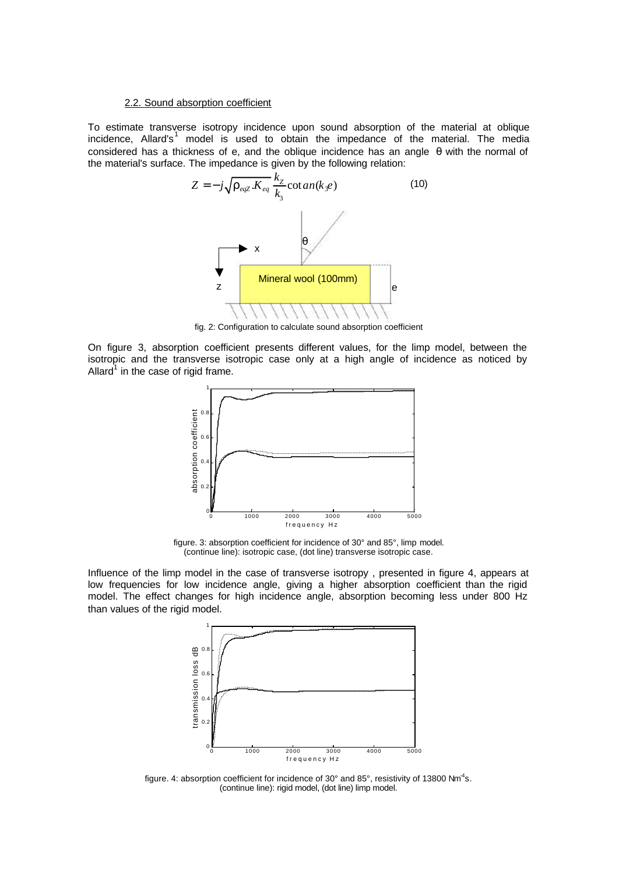#### 2.2. Sound absorption coefficient

To estimate transverse isotropy incidence upon sound absorption of the material at oblique incidence, Allard's<sup>1</sup> model is used to obtain the impedance of the material. The media considered has a thickness of e, and the oblique incidence has an angle θ with the normal of the material's surface. The impedance is given by the following relation:



fig. 2: Configuration to calculate sound absorption coefficient

On figure 3, absorption coefficient presents different values, for the limp model, between the isotropic and the transverse isotropic case only at a high angle of incidence as noticed by Allard $^{1}$  in the case of rigid frame.



figure. 3: absorption coefficient for incidence of 30° and 85°, limp model. (continue line): isotropic case, (dot line) transverse isotropic case.

Influence of the limp model in the case of transverse isotropy , presented in figure 4, appears at low frequencies for low incidence angle, giving a higher absorption coefficient than the rigid model. The effect changes for high incidence angle, absorption becoming less under 800 Hz than values of the rigid model.



figure. 4: absorption coefficient for incidence of 30° and 85°, resistivity of 13800 Nm<sup>4</sup>s. (continue line): rigid model, (dot line) limp model.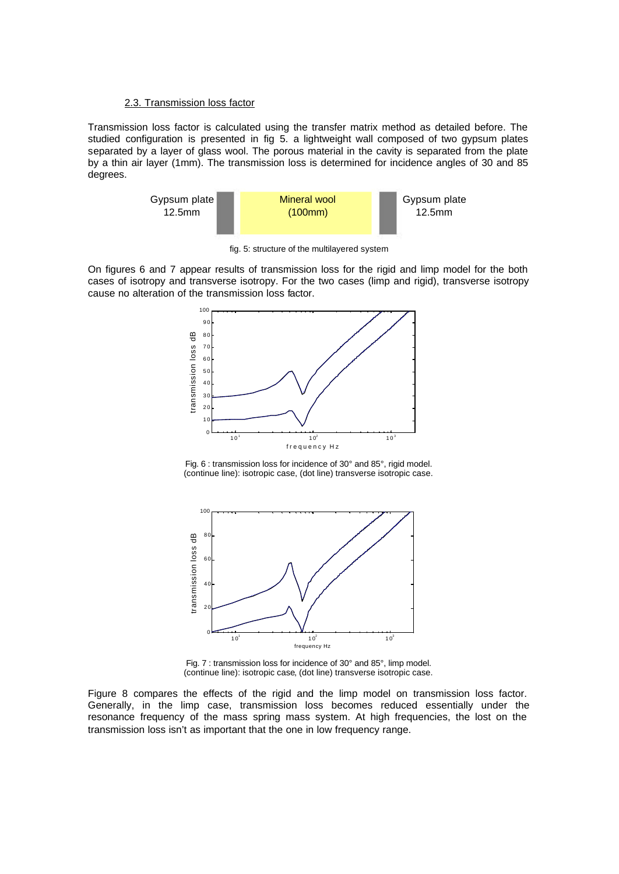### 2.3. Transmission loss factor

Transmission loss factor is calculated using the transfer matrix method as detailed before. The studied configuration is presented in fig 5. a lightweight wall composed of two gypsum plates separated by a layer of glass wool. The porous material in the cavity is separated from the plate by a thin air layer (1mm). The transmission loss is determined for incidence angles of 30 and 85 degrees.



fig. 5: structure of the multilayered system

On figures 6 and 7 appear results of transmission loss for the rigid and limp model for the both cases of isotropy and transverse isotropy. For the two cases (limp and rigid), transverse isotropy cause no alteration of the transmission loss factor.



Fig. 6 : transmission loss for incidence of 30° and 85°, rigid model. (continue line): isotropic case, (dot line) transverse isotropic case.



Fig. 7 : transmission loss for incidence of 30° and 85°, limp model. (continue line): isotropic case, (dot line) transverse isotropic case.

Figure 8 compares the effects of the rigid and the limp model on transmission loss factor. Generally, in the limp case, transmission loss becomes reduced essentially under the resonance frequency of the mass spring mass system. At high frequencies, the lost on the transmission loss isn't as important that the one in low frequency range.